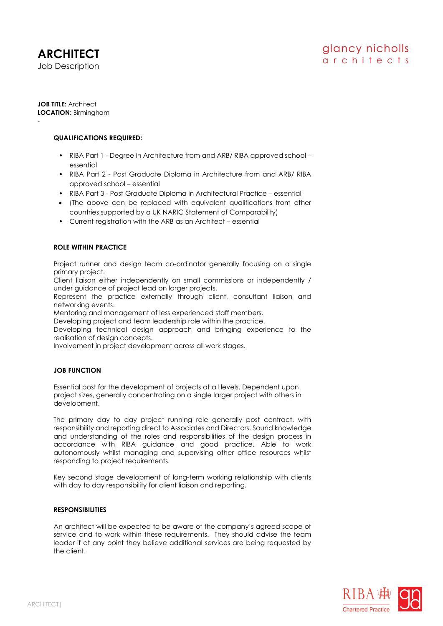#### **JOB TITLE:** Architect **LOCATION:** Birmingham

-

### **QUALIFICATIONS REQUIRED:**

- RIBA Part 1 Degree in Architecture from and ARB/ RIBA approved school essential
- RIBA Part 2 Post Graduate Diploma in Architecture from and ARB/ RIBA approved school – essential
- RIBA Part 3 Post Graduate Diploma in Architectural Practice essential
- (The above can be replaced with equivalent qualifications from other countries supported by a UK NARIC Statement of Comparability)
- Current registration with the ARB as an Architect essential

# **ROLE WITHIN PRACTICE**

Project runner and design team co-ordinator generally focusing on a single primary project.

Client liaison either independently on small commissions or independently / under guidance of project lead on larger projects.

Represent the practice externally through client, consultant liaison and networking events.

Mentoring and management of less experienced staff members.

Developing project and team leadership role within the practice.

Developing technical design approach and bringing experience to the realisation of design concepts.

Involvement in project development across all work stages.

# **JOB FUNCTION**

Essential post for the development of projects at all levels. Dependent upon project sizes, generally concentrating on a single larger project with others in development.

The primary day to day project running role generally post contract, with responsibility and reporting direct to Associates and Directors. Sound knowledge and understanding of the roles and responsibilities of the design process in accordance with RIBA guidance and good practice. Able to work autonomously whilst managing and supervising other office resources whilst responding to project requirements.

Key second stage development of long-term working relationship with clients with day to day responsibility for client liaison and reporting.

### **RESPONSIBILITIES**

An architect will be expected to be aware of the company's agreed scope of service and to work within these requirements. They should advise the team leader if at any point they believe additional services are being requested by the client.

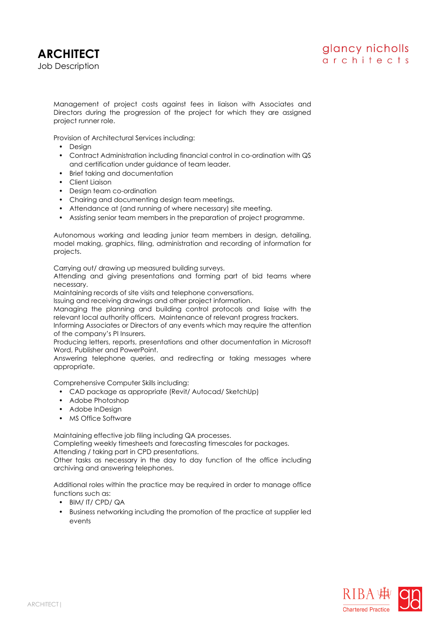

Management of project costs against fees in liaison with Associates and Directors during the progression of the project for which they are assigned project runner role.

Provision of Architectural Services including:

- Design
- Contract Administration including financial control in co-ordination with QS and certification under guidance of team leader.
- Brief taking and documentation
- Client Liaison
- Design team co-ordination
- Chairing and documenting design team meetings.
- Attendance at (and running of where necessary) site meeting.
- Assisting senior team members in the preparation of project programme.

Autonomous working and leading junior team members in design, detailing, model making, graphics, filing, administration and recording of information for projects.

Carrying out/ drawing up measured building surveys.

Attending and giving presentations and forming part of bid teams where necessary.

Maintaining records of site visits and telephone conversations.

Issuing and receiving drawings and other project information.

Managing the planning and building control protocols and liaise with the relevant local authority officers. Maintenance of relevant progress trackers.

Informing Associates or Directors of any events which may require the attention of the company's PI Insurers.

Producing letters, reports, presentations and other documentation in Microsoft Word, Publisher and PowerPoint.

Answering telephone queries, and redirecting or taking messages where appropriate.

Comprehensive Computer Skills including:

- CAD package as appropriate (Revit/ Autocad/ SketchUp)
- Adobe Photoshop
- Adobe InDesign
- MS Office Software

Maintaining effective job filing including QA processes.

Completing weekly timesheets and forecasting timescales for packages.

Attending / taking part in CPD presentations.

Other tasks as necessary in the day to day function of the office including archiving and answering telephones.

Additional roles within the practice may be required in order to manage office functions such as:

- BIM/ IT/ CPD/ QA
- Business networking including the promotion of the practice at supplier led events